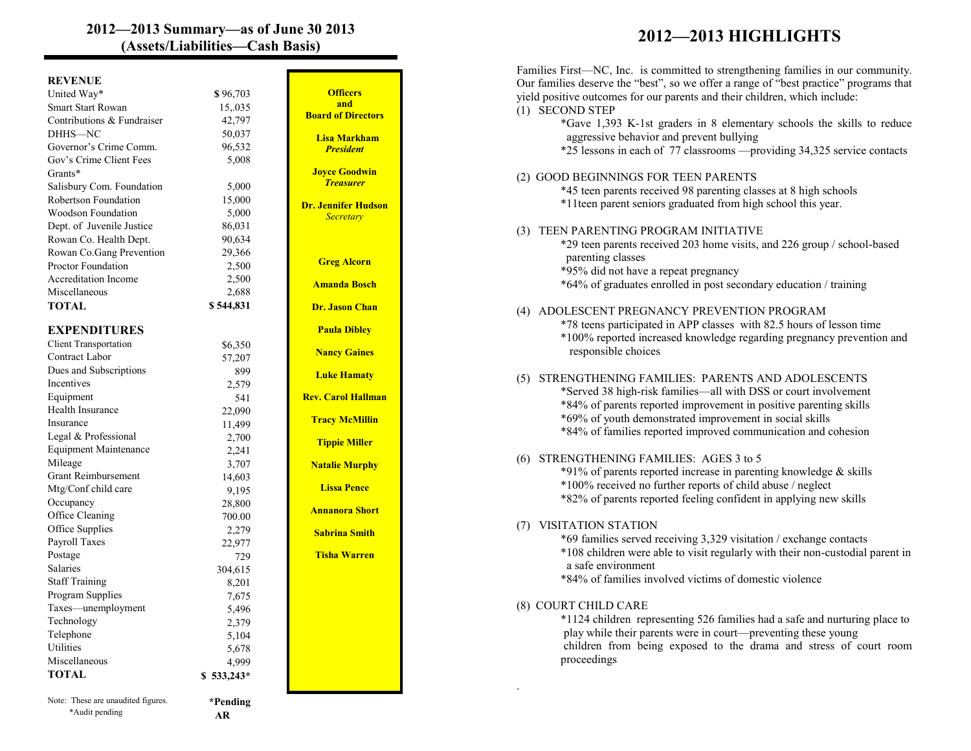## **2012—2013 Summary—as of June 30 2013 (Assets/Liabilities—Cash Basis) 2012—2013 HIGHLIGHTS**

## **REVENUE**

\*Audit pending

| . <del>.</del> .<br>United Way*    | \$96,703      | $\mathbf{O}$    |
|------------------------------------|---------------|-----------------|
| <b>Smart Start Rowan</b>           | 15,035        |                 |
| Contributions & Fundraiser         | 42,797        | <b>Board</b>    |
| DHHS-NC                            | 50,037        | Lisa            |
| Governor's Crime Comm.             | 96,532        | Pr              |
| Gov's Crime Client Fees            | 5,008         |                 |
| Grants*                            |               | <b>Joyce</b>    |
| Salisbury Com. Foundation          | 5,000         | Tr <sub>0</sub> |
| Robertson Foundation               | 15,000        | Dr. Jenn        |
| <b>Woodson Foundation</b>          | 5,000         | Se              |
| Dept. of Juvenile Justice          | 86,031        |                 |
| Rowan Co. Health Dept.             | 90,634        |                 |
| Rowan Co.Gang Prevention           | 29,366        |                 |
| <b>Proctor Foundation</b>          | 2,500         | Greg            |
| <b>Accreditation Income</b>        | 2,500         |                 |
| Miscellaneous                      | 2,688         | Amar            |
| <b>TOTAL</b>                       | \$544,831     | Dr. Ja          |
| <b>EXPENDITURES</b>                |               | Paul            |
| <b>Client Transportation</b>       | \$6,350       |                 |
| Contract Labor                     |               | <b>Nanc</b>     |
| Dues and Subscriptions             | 57,207<br>899 |                 |
| Incentives                         | 2,579         | Luke            |
| Equipment                          | 541           | Rev. Ca         |
| Health Insurance                   | 22,090        |                 |
| Insurance                          | 11,499        | Tracy           |
| Legal & Professional               | 2,700         |                 |
| <b>Equipment Maintenance</b>       | 2,241         | <b>Tipp</b>     |
| Mileage                            | 3,707         | <b>Natali</b>   |
| <b>Grant Reimbursement</b>         | 14,603        |                 |
| Mtg/Conf child care                | 9,195         | <b>Liss</b>     |
| Occupancy                          | 28,800        |                 |
| Office Cleaning                    | 700.00        | Annar           |
| Office Supplies                    | 2,279         | Sabri           |
| Payroll Taxes                      | 22,977        |                 |
| Postage                            | 729           | <b>Tisha</b>    |
| <b>Salaries</b>                    | 304,615       |                 |
| <b>Staff Training</b>              | 8,201         |                 |
| Program Supplies                   | 7,675         |                 |
| Taxes—unemployment                 | 5,496         |                 |
| Technology                         | 2,379         |                 |
| Telephone                          | 5,104         |                 |
| Utilities                          | 5,678         |                 |
| Miscellaneous                      | 4,999         |                 |
| <b>TOTAL</b>                       | $$533,243*$   |                 |
| Note: These are unaudited figures. | *Pending      |                 |
|                                    |               |                 |

 **AR** 

| <b>Officers</b><br>and    |
|---------------------------|
| <b>Board of Directors</b> |
| Lisa Markham              |
| <b>President</b>          |
| <b>Joyce Goodwin</b>      |
| <mark>Treasurer</mark>    |
| Dr. Jennifer Hudson       |
| Secretary                 |
|                           |
|                           |
| <b>Greg Alcorn</b>        |
| <b>Amanda Bosch</b>       |
| Dr. Jason Chan            |
|                           |
| <b>Paula Dibley</b>       |
| <b>Nancy Gaines</b>       |
| <b>Luke Hamaty</b>        |
|                           |
| <b>Rev. Carol Hallman</b> |
| <b>Tracy McMillin</b>     |
| <b>Tippie Miller</b>      |
|                           |
| <b>Natalie Murphy</b>     |
| <b>Lissa Pence</b>        |
| <b>Annanora Short</b>     |
|                           |
| <b>Sabrina Smith</b>      |
| <b>Tisha Warren</b>       |
|                           |
|                           |
|                           |
|                           |
|                           |
|                           |
|                           |
|                           |

.

| Families First-NC, Inc. is committed to strengthening families in our community.<br>Our families deserve the "best", so we offer a range of "best practice" programs that<br>yield positive outcomes for our parents and their children, which include:<br>(1) SECOND STEP<br>*Gave 1,393 K-1st graders in 8 elementary schools the skills to reduce |
|------------------------------------------------------------------------------------------------------------------------------------------------------------------------------------------------------------------------------------------------------------------------------------------------------------------------------------------------------|
| aggressive behavior and prevent bullying<br>*25 lessons in each of 77 classrooms —providing 34,325 service contacts                                                                                                                                                                                                                                  |
| (2) GOOD BEGINNINGS FOR TEEN PARENTS<br>*45 teen parents received 98 parenting classes at 8 high schools<br>*11teen parent seniors graduated from high school this year.                                                                                                                                                                             |
| TEEN PARENTING PROGRAM INITIATIVE<br>(3)<br>*29 teen parents received 203 home visits, and 226 group / school-based<br>parenting classes<br>*95% did not have a repeat pregnancy<br>*64% of graduates enrolled in post secondary education / training                                                                                                |
| (4) ADOLESCENT PREGNANCY PREVENTION PROGRAM<br>*78 teens participated in APP classes with 82.5 hours of lesson time<br>*100% reported increased knowledge regarding pregnancy prevention and<br>responsible choices                                                                                                                                  |
| STRENGTHENING FAMILIES: PARENTS AND ADOLESCENTS<br>(5)<br>*Served 38 high-risk families-all with DSS or court involvement<br>*84% of parents reported improvement in positive parenting skills<br>*69% of youth demonstrated improvement in social skills<br>*84% of families reported improved communication and cohesion                           |
| STRENGTHENING FAMILIES: AGES 3 to 5<br>(6)<br>*91% of parents reported increase in parenting knowledge & skills<br>*100% received no further reports of child abuse / neglect<br>*82% of parents reported feeling confident in applying new skills                                                                                                   |
| (7) VISITATION STATION<br>*69 families served receiving 3,329 visitation / exchange contacts<br>*108 children were able to visit regularly with their non-custodial parent in<br>a safe environment<br>*84% of families involved victims of domestic violence                                                                                        |
| (8) COURT CHILD CARE<br>*1124 children representing 526 families had a safe and nurturing place to<br>play while their parents were in court—preventing these young<br>children from being exposed to the drama and stress of court room<br>proceedings                                                                                              |